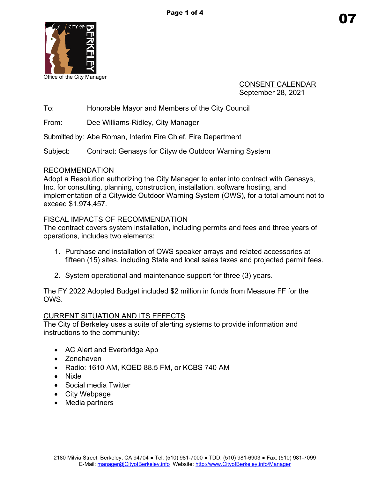

Office of the City Manager

CONSENT CALENDAR September 28, 2021

To: Honorable Mayor and Members of the City Council

From: Dee Williams-Ridley, City Manager

Submitted by: Abe Roman, Interim Fire Chief, Fire Department

Subject: Contract: Genasys for Citywide Outdoor Warning System

## RECOMMENDATION

Adopt a Resolution authorizing the City Manager to enter into contract with Genasys, Inc. for consulting, planning, construction, installation, software hosting, and implementation of a Citywide Outdoor Warning System (OWS), for a total amount not to exceed \$1,974,457.

## FISCAL IMPACTS OF RECOMMENDATION

The contract covers system installation, including permits and fees and three years of operations, includes two elements:

- 1. Purchase and installation of OWS speaker arrays and related accessories at fifteen (15) sites, including State and local sales taxes and projected permit fees.
- 2. System operational and maintenance support for three (3) years.

The FY 2022 Adopted Budget included \$2 million in funds from Measure FF for the OWS.

# CURRENT SITUATION AND ITS EFFECTS

The City of Berkeley uses a suite of alerting systems to provide information and instructions to the community:

- AC Alert and Everbridge App
- Zonehaven
- Radio: 1610 AM, KQED 88.5 FM, or KCBS 740 AM
- Nixle
- Social media Twitter
- City Webpage
- Media partners

07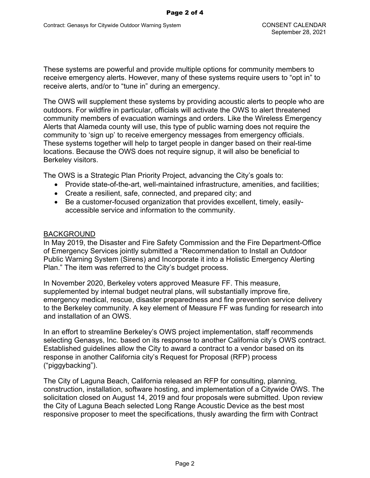These systems are powerful and provide multiple options for community members to receive emergency alerts. However, many of these systems require users to "opt in" to receive alerts, and/or to "tune in" during an emergency.

The OWS will supplement these systems by providing acoustic alerts to people who are outdoors. For wildfire in particular, officials will activate the OWS to alert threatened community members of evacuation warnings and orders. Like the Wireless Emergency Alerts that Alameda county will use, this type of public warning does not require the community to 'sign up' to receive emergency messages from emergency officials. These systems together will help to target people in danger based on their real-time locations. Because the OWS does not require signup, it will also be beneficial to Berkeley visitors.

The OWS is a Strategic Plan Priority Project, advancing the City's goals to:

- Provide state-of-the-art, well-maintained infrastructure, amenities, and facilities;
- Create a resilient, safe, connected, and prepared city; and
- Be a customer-focused organization that provides excellent, timely, easilyaccessible service and information to the community.

### BACKGROUND

In May 2019, the Disaster and Fire Safety Commission and the Fire Department-Office of Emergency Services jointly submitted a "Recommendation to Install an Outdoor Public Warning System (Sirens) and Incorporate it into a Holistic Emergency Alerting Plan." The item was referred to the City's budget process.

In November 2020, Berkeley voters approved Measure FF. This measure, supplemented by internal budget neutral plans, will substantially improve fire, emergency medical, rescue, disaster preparedness and fire prevention service delivery to the Berkeley community. A key element of Measure FF was funding for research into and installation of an OWS.

In an effort to streamline Berkeley's OWS project implementation, staff recommends selecting Genasys, Inc. based on its response to another California city's OWS contract. Established guidelines allow the City to award a contract to a vendor based on its response in another California city's Request for Proposal (RFP) process ("piggybacking").

The City of Laguna Beach, California released an RFP for consulting, planning, construction, installation, software hosting, and implementation of a Citywide OWS. The solicitation closed on August 14, 2019 and four proposals were submitted. Upon review the City of Laguna Beach selected Long Range Acoustic Device as the best most responsive proposer to meet the specifications, thusly awarding the firm with Contract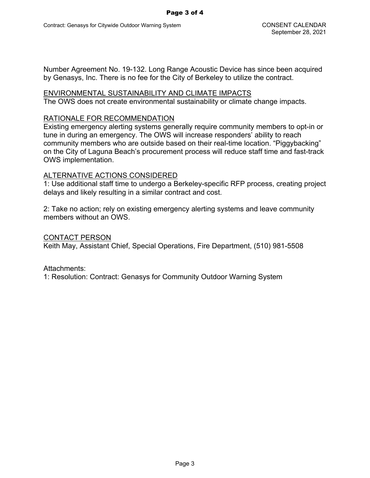Number Agreement No. 19-132. Long Range Acoustic Device has since been acquired by Genasys, Inc. There is no fee for the City of Berkeley to utilize the contract.

#### ENVIRONMENTAL SUSTAINABILITY AND CLIMATE IMPACTS

The OWS does not create environmental sustainability or climate change impacts.

#### RATIONALE FOR RECOMMENDATION

Existing emergency alerting systems generally require community members to opt-in or tune in during an emergency. The OWS will increase responders' ability to reach community members who are outside based on their real-time location. "Piggybacking" on the City of Laguna Beach's procurement process will reduce staff time and fast-track OWS implementation.

### ALTERNATIVE ACTIONS CONSIDERED

1: Use additional staff time to undergo a Berkeley-specific RFP process, creating project delays and likely resulting in a similar contract and cost.

2: Take no action; rely on existing emergency alerting systems and leave community members without an OWS

#### CONTACT PERSON

Keith May, Assistant Chief, Special Operations, Fire Department, (510) 981-5508

Attachments:

1: Resolution: Contract: Genasys for Community Outdoor Warning System